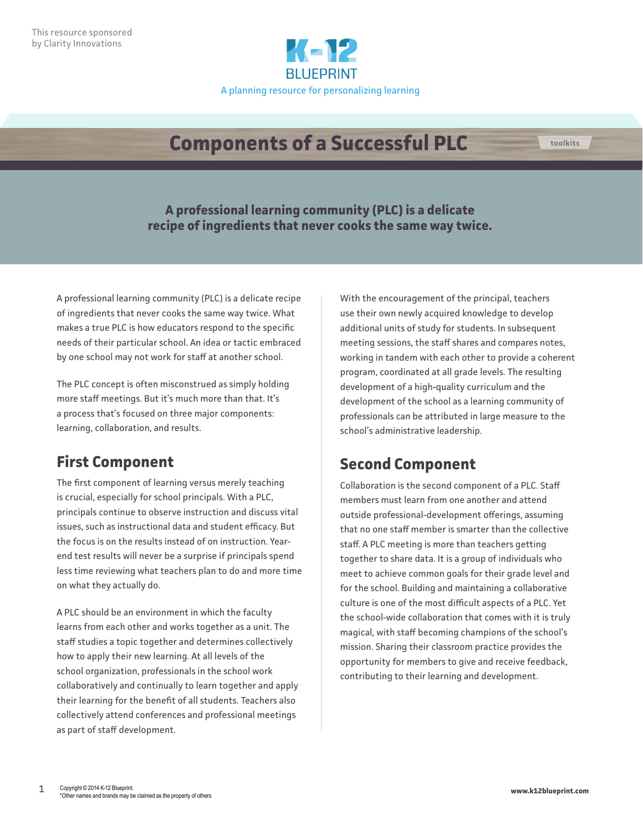

# **Components of a Successful PLC**

**A professional learning community (PLC) is a delicate recipe of ingredients that never cooks the same way twice.** 

A professional learning community (PLC) is a delicate recipe of ingredients that never cooks the same way twice. What makes a true PLC is how educators respond to the specific needs of their particular school. An idea or tactic embraced by one school may not work for staff at another school.

The PLC concept is often misconstrued as simply holding more staff meetings. But it's much more than that. It's a process that's focused on three major components: learning, collaboration, and results.

## **First Component**

The first component of learning versus merely teaching is crucial, especially for school principals. With a PLC, principals continue to observe instruction and discuss vital issues, such as instructional data and student efficacy. But the focus is on the results instead of on instruction. Yearend test results will never be a surprise if principals spend less time reviewing what teachers plan to do and more time on what they actually do.

A PLC should be an environment in which the faculty learns from each other and works together as a unit. The staff studies a topic together and determines collectively how to apply their new learning. At all levels of the school organization, professionals in the school work collaboratively and continually to learn together and apply their learning for the benefit of all students. Teachers also collectively attend conferences and professional meetings as part of staff development.

With the encouragement of the principal, teachers use their own newly acquired knowledge to develop additional units of study for students. In subsequent meeting sessions, the staff shares and compares notes, working in tandem with each other to provide a coherent program, coordinated at all grade levels. The resulting development of a high-quality curriculum and the development of the school as a learning community of professionals can be attributed in large measure to the school's administrative leadership.

## **Second Component**

Collaboration is the second component of a PLC. Staff members must learn from one another and attend outside professional-development offerings, assuming that no one staff member is smarter than the collective staff. A PLC meeting is more than teachers getting together to share data. It is a group of individuals who meet to achieve common goals for their grade level and for the school. Building and maintaining a collaborative culture is one of the most difficult aspects of a PLC. Yet the school-wide collaboration that comes with it is truly magical, with staff becoming champions of the school's mission. Sharing their classroom practice provides the opportunity for members to give and receive feedback, contributing to their learning and development.

**toolkits**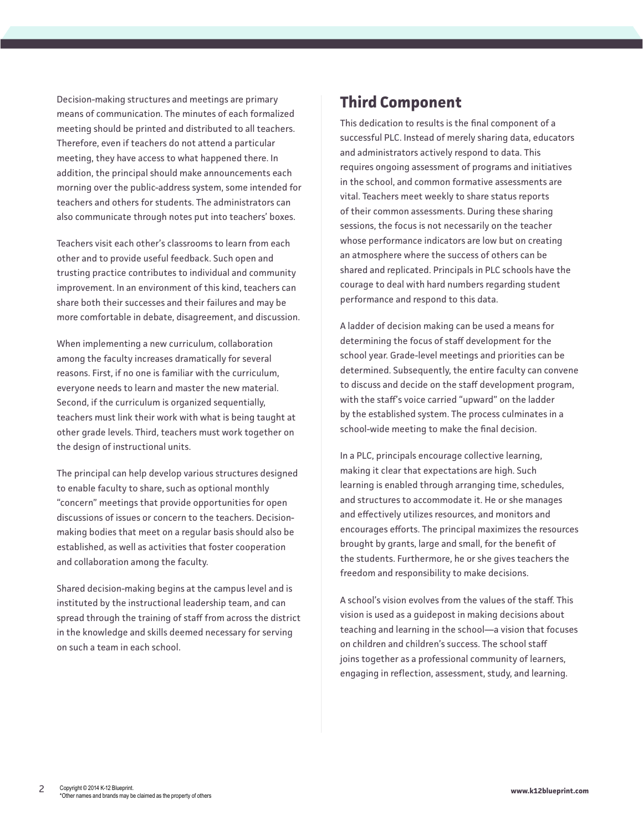Decision-making structures and meetings are primary means of communication. The minutes of each formalized meeting should be printed and distributed to all teachers. Therefore, even if teachers do not attend a particular meeting, they have access to what happened there. In addition, the principal should make announcements each morning over the public-address system, some intended for teachers and others for students. The administrators can also communicate through notes put into teachers' boxes.

Teachers visit each other's classrooms to learn from each other and to provide useful feedback. Such open and trusting practice contributes to individual and community improvement. In an environment of this kind, teachers can share both their successes and their failures and may be more comfortable in debate, disagreement, and discussion.

When implementing a new curriculum, collaboration among the faculty increases dramatically for several reasons. First, if no one is familiar with the curriculum, everyone needs to learn and master the new material. Second, if the curriculum is organized sequentially, teachers must link their work with what is being taught at other grade levels. Third, teachers must work together on the design of instructional units.

The principal can help develop various structures designed to enable faculty to share, such as optional monthly "concern" meetings that provide opportunities for open discussions of issues or concern to the teachers. Decisionmaking bodies that meet on a regular basis should also be established, as well as activities that foster cooperation and collaboration among the faculty.

Shared decision-making begins at the campus level and is instituted by the instructional leadership team, and can spread through the training of staff from across the district in the knowledge and skills deemed necessary for serving on such a team in each school.

### **Third Component**

This dedication to results is the final component of a successful PLC. Instead of merely sharing data, educators and administrators actively respond to data. This requires ongoing assessment of programs and initiatives in the school, and common formative assessments are vital. Teachers meet weekly to share status reports of their common assessments. During these sharing sessions, the focus is not necessarily on the teacher whose performance indicators are low but on creating an atmosphere where the success of others can be shared and replicated. Principals in PLC schools have the courage to deal with hard numbers regarding student performance and respond to this data.

A ladder of decision making can be used a means for determining the focus of staff development for the school year. Grade-level meetings and priorities can be determined. Subsequently, the entire faculty can convene to discuss and decide on the staff development program, with the staff's voice carried "upward" on the ladder by the established system. The process culminates in a school-wide meeting to make the final decision.

In a PLC, principals encourage collective learning, making it clear that expectations are high. Such learning is enabled through arranging time, schedules, and structures to accommodate it. He or she manages and effectively utilizes resources, and monitors and encourages efforts. The principal maximizes the resources brought by grants, large and small, for the benefit of the students. Furthermore, he or she gives teachers the freedom and responsibility to make decisions.

A school's vision evolves from the values of the staff. This vision is used as a guidepost in making decisions about teaching and learning in the school—a vision that focuses on children and children's success. The school staff joins together as a professional community of learners, engaging in reflection, assessment, study, and learning.